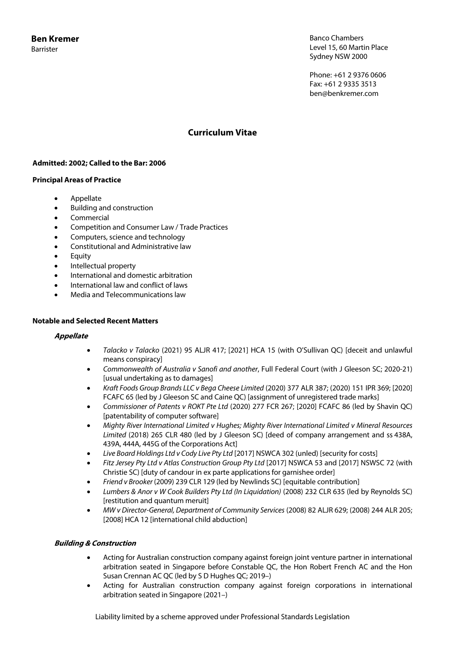Banco Chambers Level 15, 60 Martin Place Sydney NSW 2000

Phone: +61 2 9376 0606 Fax: +61 2 9335 3513 ben@benkremer.com

# **Curriculum Vitae**

# **Admitted: 2002; Called to the Bar: 2006**

### **Principal Areas of Practice**

- Appellate
- Building and construction
- Commercial
- Competition and Consumer Law / Trade Practices
- Computers, science and technology
- Constitutional and Administrative law
- Equity
- Intellectual property
- International and domestic arbitration
- International law and conflict of laws
- Media and Telecommunications law

### **Notable and Selected Recent Matters**

#### **Appellate**

- *Talacko v Talacko* (2021) 95 ALJR 417; [2021] HCA 15 (with O'Sullivan QC) [deceit and unlawful means conspiracy]
- *Commonwealth of Australia v Sanofi and another*, Full Federal Court (with J Gleeson SC; 2020-21) [usual undertaking as to damages]
- *Kraft Foods Group Brands LLC v Bega Cheese Limited* (2020) 377 ALR 387; (2020) 151 IPR 369; [2020] FCAFC 65 (led by J Gleeson SC and Caine QC) [assignment of unregistered trade marks]
- *Commissioner of Patents v ROKT Pte Ltd* (2020) 277 FCR 267; [2020] FCAFC 86 (led by Shavin QC) [patentability of computer software]
- *Mighty River International Limited v Hughes; Mighty River International Limited v Mineral Resources Limited* (2018) 265 CLR 480 (led by J Gleeson SC) [deed of company arrangement and ss 438A, 439A, 444A, 445G of the Corporations Act]
- *Live Board Holdings Ltd v Cody Live Pty Ltd* [2017] NSWCA 302 (unled) [security for costs]
- *Fitz Jersey Pty Ltd v Atlas Construction Group Pty Ltd* [2017] NSWCA 53 and [2017] NSWSC 72 (with Christie SC) [duty of candour in ex parte applications for garnishee order]
- *Friend v Brooker* (2009) 239 CLR 129 (led by Newlinds SC) [equitable contribution]
- *Lumbers & Anor v W Cook Builders Pty Ltd (In Liquidation)* (2008) 232 CLR 635 (led by Reynolds SC) [restitution and quantum meruit]
- *MW v Director-General, Department of Community Services* (2008) 82 ALJR 629; (2008) 244 ALR 205; [2008] HCA 12 [international child abduction]

# **Building & Construction**

- Acting for Australian construction company against foreign joint venture partner in international arbitration seated in Singapore before Constable QC, the Hon Robert French AC and the Hon Susan Crennan AC QC (led by S D Hughes QC; 2019–)
- Acting for Australian construction company against foreign corporations in international arbitration seated in Singapore (2021–)

Liability limited by a scheme approved under Professional Standards Legislation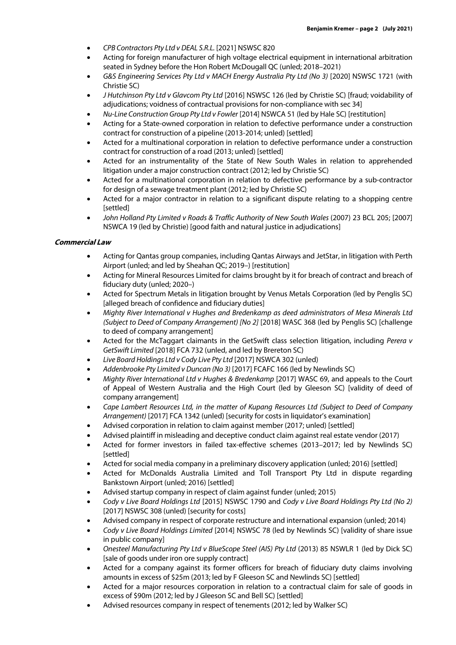- *CPB Contractors Pty Ltd v DEAL S.R.L.* [2021] NSWSC 820
- Acting for foreign manufacturer of high voltage electrical equipment in international arbitration seated in Sydney before the Hon Robert McDougall QC (unled; 2018–2021)
- *G&S Engineering Services Pty Ltd v MACH Energy Australia Pty Ltd (No 3)* [2020] NSWSC 1721 (with Christie SC)
- *J Hutchinson Pty Ltd v Glavcom Pty Ltd* [2016] NSWSC 126 (led by Christie SC) [fraud; voidability of adjudications; voidness of contractual provisions for non-compliance with sec 34]
- *Nu-Line Construction Group Pty Ltd v Fowler* [2014] NSWCA 51 (led by Hale SC) [restitution]
- Acting for a State-owned corporation in relation to defective performance under a construction contract for construction of a pipeline (2013-2014; unled) [settled]
- Acted for a multinational corporation in relation to defective performance under a construction contract for construction of a road (2013; unled) [settled]
- Acted for an instrumentality of the State of New South Wales in relation to apprehended litigation under a major construction contract (2012; led by Christie SC)
- Acted for a multinational corporation in relation to defective performance by a sub-contractor for design of a sewage treatment plant (2012; led by Christie SC)
- Acted for a major contractor in relation to a significant dispute relating to a shopping centre [settled]
- *John Holland Pty Limited v Roads & Traffic Authority of New South Wales* (2007) 23 BCL 205; [2007] NSWCA 19 (led by Christie) [good faith and natural justice in adjudications]

#### **Commercial Law**

- Acting for Qantas group companies, including Qantas Airways and JetStar, in litigation with Perth Airport (unled; and led by Sheahan QC; 2019–) [restitution]
- Acting for Mineral Resources Limited for claims brought by it for breach of contract and breach of fiduciary duty (unled; 2020–)
- Acted for Spectrum Metals in litigation brought by Venus Metals Corporation (led by Penglis SC) [alleged breach of confidence and fiduciary duties]
- *Mighty River International v Hughes and Bredenkamp as deed administrators of Mesa Minerals Ltd (Subject to Deed of Company Arrangement) [No 2]* [2018] WASC 368 (led by Penglis SC) [challenge to deed of company arrangement]
- Acted for the McTaggart claimants in the GetSwift class selection litigation, including *Perera v GetSwift Limited* [2018] FCA 732 (unled, and led by Brereton SC)
- *Live Board Holdings Ltd v Cody Live Pty Ltd* [2017] NSWCA 302 (unled)
- *Addenbrooke Pty Limited v Duncan (No 3)* [2017] FCAFC 166 (led by Newlinds SC)
- *Mighty River International Ltd v Hughes & Bredenkamp* [2017] WASC 69, and appeals to the Court of Appeal of Western Australia and the High Court (led by Gleeson SC) [validity of deed of company arrangement]
- *Cape Lambert Resources Ltd, in the matter of Kupang Resources Ltd (Subject to Deed of Company Arrangement)* [2017] FCA 1342 (unled) [security for costs in liquidator's examination]
- Advised corporation in relation to claim against member (2017; unled) [settled]
- Advised plaintiff in misleading and deceptive conduct claim against real estate vendor (2017)
- Acted for former investors in failed tax-effective schemes (2013–2017; led by Newlinds SC) [settled]
- Acted for social media company in a preliminary discovery application (unled; 2016) [settled]
- Acted for McDonalds Australia Limited and Toll Transport Pty Ltd in dispute regarding Bankstown Airport (unled; 2016) [settled]
- Advised startup company in respect of claim against funder (unled; 2015)
- *Cody v Live Board Holdings Ltd* [2015] NSWSC 1790 and *Cody v Live Board Holdings Pty Ltd (No 2)* [2017] NSWSC 308 (unled) [security for costs]
- Advised company in respect of corporate restructure and international expansion (unled; 2014)
- *Cody v Live Board Holdings Limited* [2014] NSWSC 78 (led by Newlinds SC) [validity of share issue in public company]
- *Onesteel Manufacturing Pty Ltd v BlueScope Steel (AIS) Pty Ltd* (2013) 85 NSWLR 1 (led by Dick SC) [sale of goods under iron ore supply contract]
- Acted for a company against its former officers for breach of fiduciary duty claims involving amounts in excess of \$25m (2013; led by F Gleeson SC and Newlinds SC) [settled]
- Acted for a major resources corporation in relation to a contractual claim for sale of goods in excess of \$90m (2012; led by J Gleeson SC and Bell SC) [settled]
- Advised resources company in respect of tenements (2012; led by Walker SC)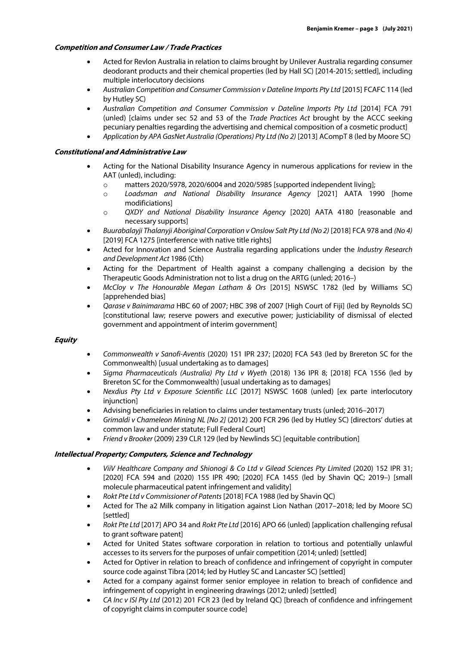### **Competition and Consumer Law / Trade Practices**

- Acted for Revlon Australia in relation to claims brought by Unilever Australia regarding consumer deodorant products and their chemical properties (led by Hall SC) [2014-2015; settled], including multiple interlocutory decisions
- *Australian Competition and Consumer Commission v Dateline Imports Pty Ltd* [2015] FCAFC 114 (led by Hutley SC)
- *Australian Competition and Consumer Commission v Dateline Imports Pty Ltd* [2014] FCA 791 (unled) [claims under sec 52 and 53 of the *Trade Practices Act* brought by the ACCC seeking pecuniary penalties regarding the advertising and chemical composition of a cosmetic product]
- *Application by APA GasNet Australia (Operations) Pty Ltd (No 2)* [2013] ACompT 8 (led by Moore SC)

### **Constitutional and Administrative Law**

- Acting for the National Disability Insurance Agency in numerous applications for review in the AAT (unled), including:
	- $\circ$  matters 2020/5978, 2020/6004 and 2020/5985 [supported independent living];
	- o *Loadsman and National Disability Insurance Agency* [2021] AATA 1990 [home modificiations]
	- o *QXDY and National Disability Insurance Agency* [2020] AATA 4180 [reasonable and necessary supports]
- *Buurabalayji Thalanyji Aboriginal Corporation v Onslow Salt Pty Ltd (No 2)* [2018] FCA 978 and *(No 4)* [2019] FCA 1275 [interference with native title rights]
- Acted for Innovation and Science Australia regarding applications under the *Industry Research and Development Act* 1986 (Cth)
- Acting for the Department of Health against a company challenging a decision by the Therapeutic Goods Administration not to list a drug on the ARTG (unled; 2016–)
- *McCloy v The Honourable Megan Latham & Ors* [2015] NSWSC 1782 (led by Williams SC) [apprehended bias]
- *Qarase v Bainimarama* HBC 60 of 2007; HBC 398 of 2007 [High Court of Fiji] (led by Reynolds SC) [constitutional law; reserve powers and executive power; justiciability of dismissal of elected government and appointment of interim government]

#### **Equity**

- *Commonwealth v Sanofi-Aventis* (2020) 151 IPR 237; [2020] FCA 543 (led by Brereton SC for the Commonwealth) [usual undertaking as to damages]
- *Sigma Pharmaceuticals (Australia) Pty Ltd v Wyeth* (2018) 136 IPR 8; [2018] FCA 1556 (led by Brereton SC for the Commonwealth) [usual undertaking as to damages]
- *Nexdius Pty Ltd v Exposure Scientific LLC* [2017] NSWSC 1608 (unled) [ex parte interlocutory injunction]
- Advising beneficiaries in relation to claims under testamentary trusts (unled; 2016–2017)
- *Grimaldi v Chameleon Mining NL [No 2]* (2012) 200 FCR 296 (led by Hutley SC) [directors' duties at common law and under statute; Full Federal Court]
- *Friend v Brooker* (2009) 239 CLR 129 (led by Newlinds SC) [equitable contribution]

# **Intellectual Property; Computers, Science and Technology**

- *ViiV Healthcare Company and Shionogi & Co Ltd v Gilead Sciences Pty Limited* (2020) 152 IPR 31; [2020] FCA 594 and (2020) 155 IPR 490; [2020] FCA 1455 (led by Shavin QC; 2019–) [small molecule pharmaceutical patent infringement and validity]
- *Rokt Pte Ltd v Commissioner of Patents* [2018] FCA 1988 (led by Shavin QC)
- Acted for The a2 Milk company in litigation against Lion Nathan (2017–2018; led by Moore SC) [settled]
- *Rokt Pte Ltd* [2017] APO 34 and *Rokt Pte Ltd* [2016] APO 66 (unled) [application challenging refusal to grant software patent]
- Acted for United States software corporation in relation to tortious and potentially unlawful accesses to its servers for the purposes of unfair competition (2014; unled) [settled]
- Acted for Optiver in relation to breach of confidence and infringement of copyright in computer source code against Tibra (2014; led by Hutley SC and Lancaster SC) [settled]
- Acted for a company against former senior employee in relation to breach of confidence and infringement of copyright in engineering drawings (2012; unled) [settled]
- *CA Inc v ISI Pty Ltd* (2012) 201 FCR 23 (led by Ireland QC) [breach of confidence and infringement of copyright claims in computer source code]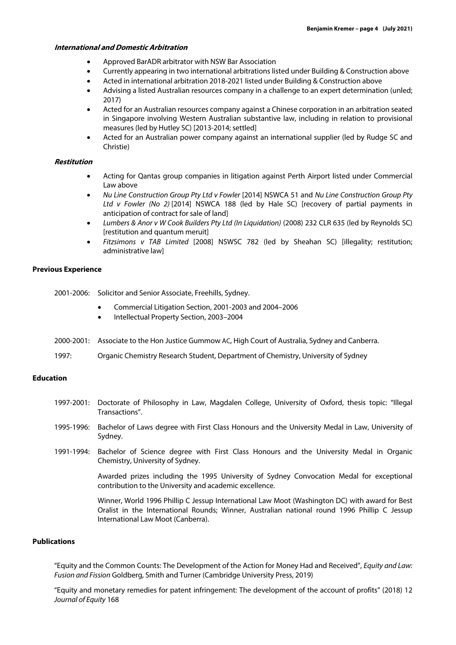#### **International and Domestic Arbitration**

- Approved BarADR arbitrator with NSW Bar Association
- Currently appearing in two international arbitrations listed under Building & Construction above
- Acted in international arbitration 2018-2021 listed under Building & Construction above
- Advising a listed Australian resources company in a challenge to an expert determination (unled; 2017)
- Acted for an Australian resources company against a Chinese corporation in an arbitration seated in Singapore involving Western Australian substantive law, including in relation to provisional measures (led by Hutley SC) [2013-2014; settled]
- Acted for an Australian power company against an international supplier (led by Rudge SC and Christie)

#### **Restitution**

- Acting for Qantas group companies in litigation against Perth Airport listed under Commercial Law above
- *Nu Line Construction Group Pty Ltd v Fowler* [2014] NSWCA 51 and *Nu Line Construction Group Pty Ltd v Fowler (No 2)* [2014] NSWCA 188 (led by Hale SC) [recovery of partial payments in anticipation of contract for sale of land]
- *Lumbers & Anor v W Cook Builders Pty Ltd (In Liquidation)* (2008) 232 CLR 635 (led by Reynolds SC) [restitution and quantum meruit]
- *Fitzsimons v TAB Limited* [2008] NSWSC 782 (led by Sheahan SC) [illegality; restitution; administrative law]

#### **Previous Experience**

- 2001-2006: Solicitor and Senior Associate, Freehills, Sydney.
	- Commercial Litigation Section, 2001-2003 and 2004–2006
	- Intellectual Property Section, 2003–2004
- 2000-2001: Associate to the Hon Justice Gummow AC, High Court of Australia, Sydney and Canberra.
- 1997: Organic Chemistry Research Student, Department of Chemistry, University of Sydney

#### **Education**

- 1997-2001: Doctorate of Philosophy in Law, Magdalen College, University of Oxford, thesis topic: "Illegal Transactions".
- 1995-1996: Bachelor of Laws degree with First Class Honours and the University Medal in Law, University of Sydney.
- 1991-1994: Bachelor of Science degree with First Class Honours and the University Medal in Organic Chemistry, University of Sydney.

Awarded prizes including the 1995 University of Sydney Convocation Medal for exceptional contribution to the University and academic excellence.

Winner, World 1996 Phillip C Jessup International Law Moot (Washington DC) with award for Best Oralist in the International Rounds; Winner, Australian national round 1996 Phillip C Jessup International Law Moot (Canberra).

#### **Publications**

"Equity and the Common Counts: The Development of the Action for Money Had and Received", *Equity and Law: Fusion and Fission* Goldberg, Smith and Turner (Cambridge University Press, 2019)

"Equity and monetary remedies for patent infringement: The development of the account of profits" (2018) 12 *Journal of Equity* 168